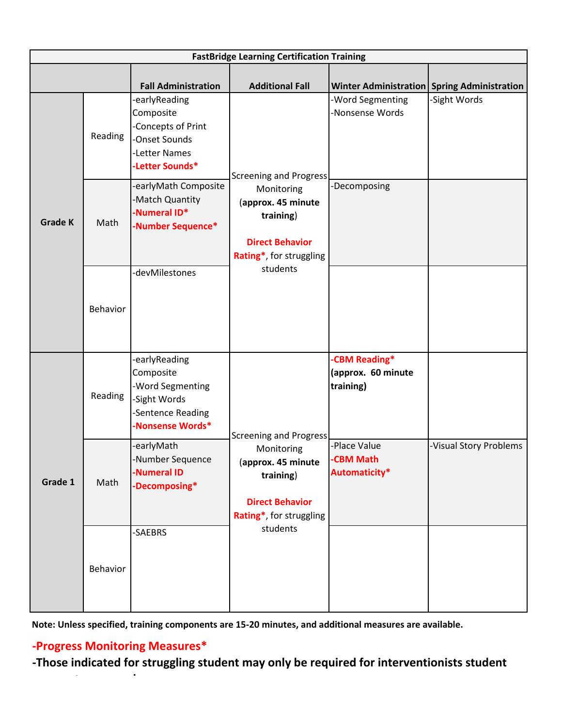| <b>FastBridge Learning Certification Training</b> |          |                                                                                                        |                                                                                                                                                 |                                                  |                       |  |  |
|---------------------------------------------------|----------|--------------------------------------------------------------------------------------------------------|-------------------------------------------------------------------------------------------------------------------------------------------------|--------------------------------------------------|-----------------------|--|--|
|                                                   |          | <b>Fall Administration</b>                                                                             | <b>Additional Fall</b>                                                                                                                          | Winter Administration Spring Administration      |                       |  |  |
| <b>Grade K</b>                                    | Reading  | -earlyReading<br>Composite<br>-Concepts of Print<br>-Onset Sounds<br>-Letter Names<br>Letter Sounds*   | <b>Screening and Progress</b><br>Monitoring<br>(approx. 45 minute<br>training)<br><b>Direct Behavior</b><br>Rating*, for struggling             | -Word Segmenting<br>-Nonsense Words              | -Sight Words          |  |  |
|                                                   | Math     | -earlyMath Composite<br>-Match Quantity<br>Numeral ID*<br>Number Sequence*                             |                                                                                                                                                 | <b>Decomposing</b>                               |                       |  |  |
|                                                   | Behavior | -devMilestones                                                                                         | students                                                                                                                                        |                                                  |                       |  |  |
| Grade 1                                           | Reading  | -earlyReading<br>Composite<br>-Word Segmenting<br>-Sight Words<br>-Sentence Reading<br>Nonsense Words* | <b>Screening and Progress</b><br>Monitoring<br>(approx. 45 minute<br>training)<br><b>Direct Behavior</b><br>Rating*, for struggling<br>students | -CBM Reading*<br>(approx. 60 minute<br>training) |                       |  |  |
|                                                   | Math     | -earlyMath<br>-Number Sequence<br><b>Numeral ID</b><br>Decomposing*                                    |                                                                                                                                                 | -Place Value<br>-CBM Math<br>Automaticity*       | Visual Story Problems |  |  |
|                                                   | Behavior | -SAEBRS                                                                                                |                                                                                                                                                 |                                                  |                       |  |  |

**Note: Unless specified, training components are 15-20 minutes, and additional measures are available.**

## **-Progress Monitoring Measures\***

**success team members.**

**-Those indicated for struggling student may only be required for interventionists student**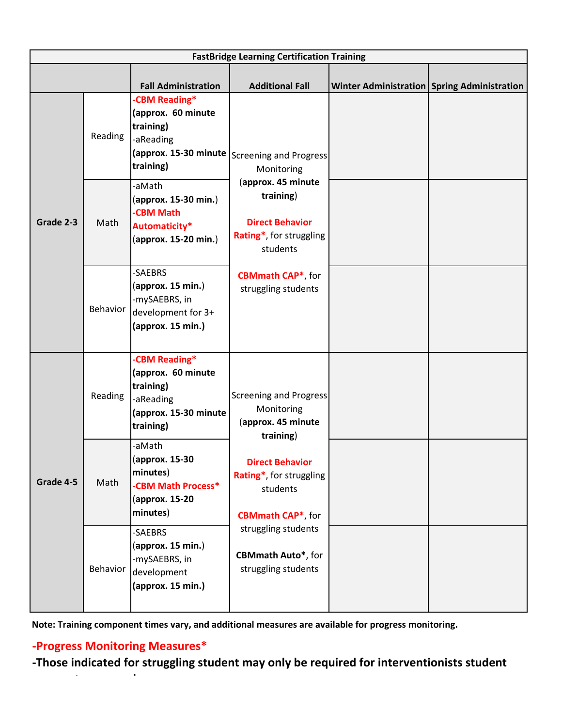|           |                 |                                                                                                     | <b>FastBridge Learning Certification Training</b>                                                                                                                                                                                                      |                                                    |  |
|-----------|-----------------|-----------------------------------------------------------------------------------------------------|--------------------------------------------------------------------------------------------------------------------------------------------------------------------------------------------------------------------------------------------------------|----------------------------------------------------|--|
|           |                 | <b>Fall Administration</b>                                                                          | <b>Additional Fall</b>                                                                                                                                                                                                                                 | <b>Winter Administration Spring Administration</b> |  |
| Grade 2-3 | Reading         | -CBM Reading*<br>(approx. 60 minute<br>training)<br>-aReading<br>training)                          | (approx. 15-30 minute   Screening and Progress <br>Monitoring<br>(approx. 45 minute<br>training)<br><b>Direct Behavior</b><br>Rating*, for struggling<br>students                                                                                      |                                                    |  |
|           | Math            | -aMath<br>(approx. 15-30 min.)<br><b>CBM Math</b><br>Automaticity*<br>(approx. 15-20 min.)          |                                                                                                                                                                                                                                                        |                                                    |  |
|           | <b>Behavior</b> | -SAEBRS<br>(approx. 15 min.)<br>-mySAEBRS, in<br>development for 3+<br>(approx. 15 min.)            | <b>CBMmath CAP*, for</b><br>struggling students                                                                                                                                                                                                        |                                                    |  |
| Grade 4-5 | Reading         | -CBM Reading*<br>(approx. 60 minute<br>training)<br>-aReading<br>(approx. 15-30 minute<br>training) | <b>Screening and Progress</b><br>Monitoring<br>(approx. 45 minute<br>training)<br><b>Direct Behavior</b><br>Rating*, for struggling<br>students<br><b>CBMmath CAP*, for</b><br>struggling students<br><b>CBMmath Auto*, for</b><br>struggling students |                                                    |  |
|           | Math            | -aMath<br>(approx. 15-30<br>minutes)<br><b>CBM Math Process*</b><br>(approx. 15-20<br>minutes)      |                                                                                                                                                                                                                                                        |                                                    |  |
|           | Behavior        | -SAEBRS<br>$\langle$ approx. 15 min. $\rangle$<br>-mySAEBRS, in<br>development<br>(approx. 15 min.) |                                                                                                                                                                                                                                                        |                                                    |  |

**Note: Training component times vary, and additional measures are available for progress monitoring.**

## **-Progress Monitoring Measures\***

**success team members.**

**-Those indicated for struggling student may only be required for interventionists student**